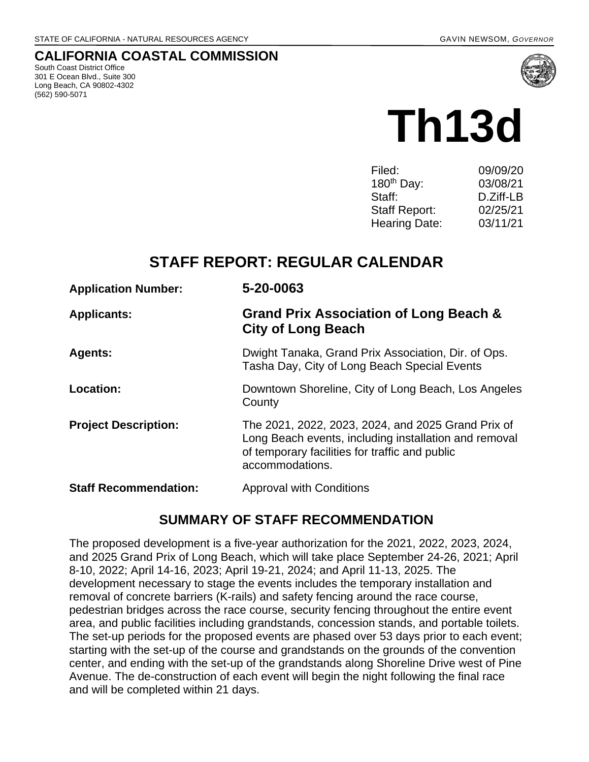#### **CALIFORNIA COASTAL COMMISSION**

South Coast District Office 301 E Ocean Blvd., Suite 300 Long Beach, CA 90802-4302 (562) 590-5071



# **Th13d**

| 09/09/20  |
|-----------|
| 03/08/21  |
| D.Ziff-LB |
| 02/25/21  |
| 03/11/21  |
|           |

# **STAFF REPORT: REGULAR CALENDAR**

| <b>Application Number:</b>   | 5-20-0063                                                                                                                                                                        |
|------------------------------|----------------------------------------------------------------------------------------------------------------------------------------------------------------------------------|
| <b>Applicants:</b>           | Grand Prix Association of Long Beach &<br><b>City of Long Beach</b>                                                                                                              |
| <b>Agents:</b>               | Dwight Tanaka, Grand Prix Association, Dir. of Ops.<br>Tasha Day, City of Long Beach Special Events                                                                              |
| Location:                    | Downtown Shoreline, City of Long Beach, Los Angeles<br>County                                                                                                                    |
| <b>Project Description:</b>  | The 2021, 2022, 2023, 2024, and 2025 Grand Prix of<br>Long Beach events, including installation and removal<br>of temporary facilities for traffic and public<br>accommodations. |
| <b>Staff Recommendation:</b> | <b>Approval with Conditions</b>                                                                                                                                                  |

## **SUMMARY OF STAFF RECOMMENDATION**

The proposed development is a five-year authorization for the 2021, 2022, 2023, 2024, and 2025 Grand Prix of Long Beach, which will take place September 24-26, 2021; April 8-10, 2022; April 14-16, 2023; April 19-21, 2024; and April 11-13, 2025. The development necessary to stage the events includes the temporary installation and removal of concrete barriers (K-rails) and safety fencing around the race course, pedestrian bridges across the race course, security fencing throughout the entire event area, and public facilities including grandstands, concession stands, and portable toilets. The set-up periods for the proposed events are phased over 53 days prior to each event; starting with the set-up of the course and grandstands on the grounds of the convention center, and ending with the set-up of the grandstands along Shoreline Drive west of Pine Avenue. The de-construction of each event will begin the night following the final race and will be completed within 21 days.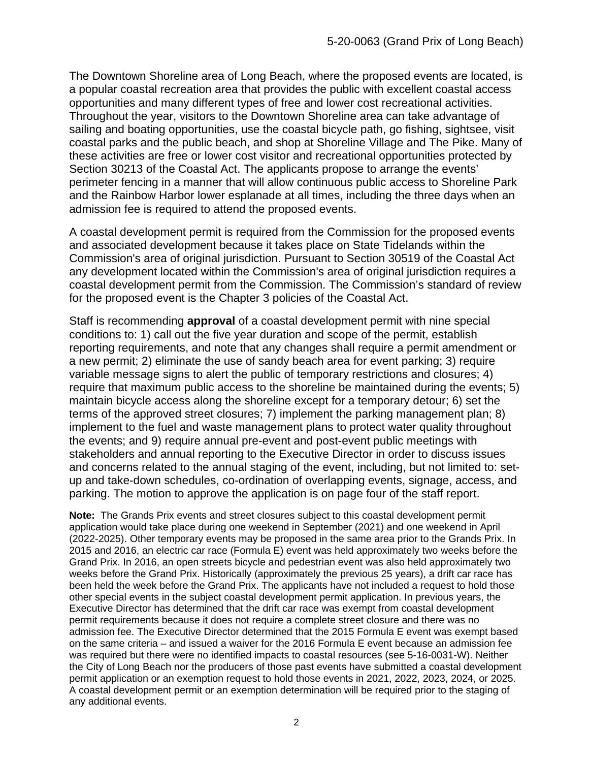The Downtown Shoreline area of Long Beach, where the proposed events are located, is a popular coastal recreation area that provides the public with excellent coastal access opportunities and many different types of free and lower cost recreational activities. Throughout the year, visitors to the Downtown Shoreline area can take advantage of sailing and boating opportunities, use the coastal bicycle path, go fishing, sightsee, visit coastal parks and the public beach, and shop at Shoreline Village and The Pike. Many of these activities are free or lower cost visitor and recreational opportunities protected by Section 30213 of the Coastal Act. The applicants propose to arrange the events' perimeter fencing in a manner that will allow continuous public access to Shoreline Park and the Rainbow Harbor lower esplanade at all times, including the three days when an admission fee is required to attend the proposed events.

A coastal development permit is required from the Commission for the proposed events and associated development because it takes place on State Tidelands within the Commission's area of original jurisdiction. Pursuant to Section 30519 of the Coastal Act any development located within the Commission's area of original jurisdiction requires a coastal development permit from the Commission. The Commission's standard of review for the proposed event is the Chapter 3 policies of the Coastal Act.

Staff is recommending **approval** of a coastal development permit with nine special conditions to: 1) call out the five year duration and scope of the permit, establish reporting requirements, and note that any changes shall require a permit amendment or a new permit; 2) eliminate the use of sandy beach area for event parking; 3) require variable message signs to alert the public of temporary restrictions and closures; 4) require that maximum public access to the shoreline be maintained during the events; 5) maintain bicycle access along the shoreline except for a temporary detour; 6) set the terms of the approved street closures; 7) implement the parking management plan; 8) implement to the fuel and waste management plans to protect water quality throughout the events; and 9) require annual pre-event and post-event public meetings with stakeholders and annual reporting to the Executive Director in order to discuss issues and concerns related to the annual staging of the event, including, but not limited to: setup and take-down schedules, co-ordination of overlapping events, signage, access, and parking. The motion to approve the application is on page four of the staff report.

**Note:** The Grands Prix events and street closures subject to this coastal development permit application would take place during one weekend in September (2021) and one weekend in April (2022-2025). Other temporary events may be proposed in the same area prior to the Grands Prix. In 2015 and 2016, an electric car race (Formula E) event was held approximately two weeks before the Grand Prix. In 2016, an open streets bicycle and pedestrian event was also held approximately two weeks before the Grand Prix. Historically (approximately the previous 25 years), a drift car race has been held the week before the Grand Prix. The applicants have not included a request to hold those other special events in the subject coastal development permit application. In previous years, the Executive Director has determined that the drift car race was exempt from coastal development permit requirements because it does not require a complete street closure and there was no admission fee. The Executive Director determined that the 2015 Formula E event was exempt based on the same criteria – and issued a waiver for the 2016 Formula E event because an admission fee was required but there were no identified impacts to coastal resources (see 5-16-0031-W). Neither the City of Long Beach nor the producers of those past events have submitted a coastal development permit application or an exemption request to hold those events in 2021, 2022, 2023, 2024, or 2025. A coastal development permit or an exemption determination will be required prior to the staging of any additional events.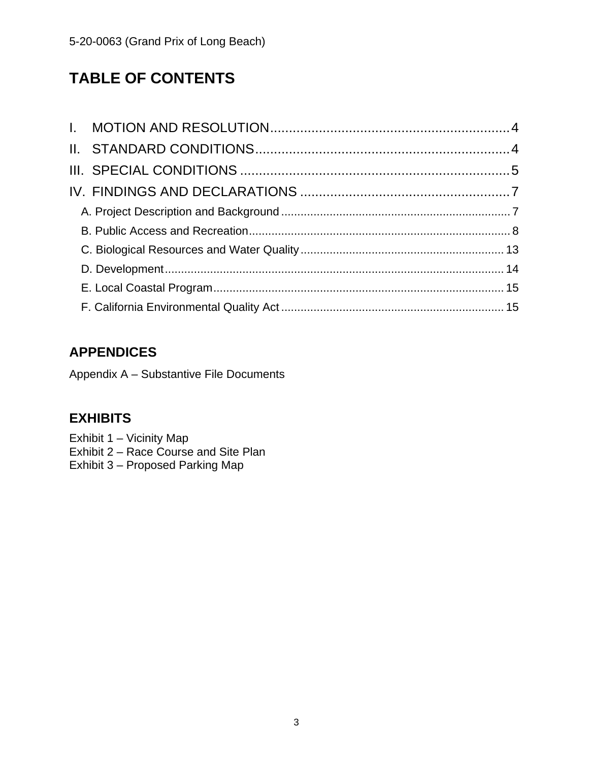# **TABLE OF CONTENTS**

# **APPENDICES**

Appendix A – Substantive File Documents

## **[EXHIBITS](https://documents.coastal.ca.gov/reports/2021/3/Th13d/Th13d-3-2021-exhibits.pdf)**

[Exhibit 1 – Vicinity Map](https://documents.coastal.ca.gov/reports/2021/3/Th13d/Th13d-3-2021-exhibits.pdf) [Exhibit 2 – Race Course and Site Plan](https://documents.coastal.ca.gov/reports/2021/3/Th13d/Th13d-3-2021-exhibits.pdf) [Exhibit 3 – Proposed Parking Map](https://documents.coastal.ca.gov/reports/2021/3/Th13d/Th13d-3-2021-exhibits.pdf)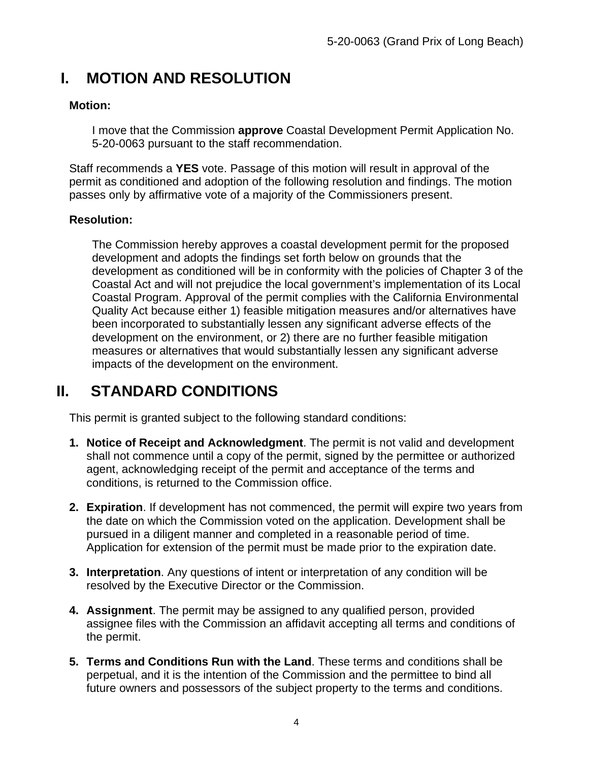# <span id="page-3-0"></span>**I. MOTION AND RESOLUTION**

#### **Motion:**

I move that the Commission **approve** Coastal Development Permit Application No. 5-20-0063 pursuant to the staff recommendation.

Staff recommends a **YES** vote. Passage of this motion will result in approval of the permit as conditioned and adoption of the following resolution and findings. The motion passes only by affirmative vote of a majority of the Commissioners present.

#### **Resolution:**

The Commission hereby approves a coastal development permit for the proposed development and adopts the findings set forth below on grounds that the development as conditioned will be in conformity with the policies of Chapter 3 of the Coastal Act and will not prejudice the local government's implementation of its Local Coastal Program. Approval of the permit complies with the California Environmental Quality Act because either 1) feasible mitigation measures and/or alternatives have been incorporated to substantially lessen any significant adverse effects of the development on the environment, or 2) there are no further feasible mitigation measures or alternatives that would substantially lessen any significant adverse impacts of the development on the environment.

# <span id="page-3-1"></span>**II. STANDARD CONDITIONS**

This permit is granted subject to the following standard conditions:

- **1. Notice of Receipt and Acknowledgment**. The permit is not valid and development shall not commence until a copy of the permit, signed by the permittee or authorized agent, acknowledging receipt of the permit and acceptance of the terms and conditions, is returned to the Commission office.
- **2. Expiration**. If development has not commenced, the permit will expire two years from the date on which the Commission voted on the application. Development shall be pursued in a diligent manner and completed in a reasonable period of time. Application for extension of the permit must be made prior to the expiration date.
- **3. Interpretation**. Any questions of intent or interpretation of any condition will be resolved by the Executive Director or the Commission.
- **4. Assignment**. The permit may be assigned to any qualified person, provided assignee files with the Commission an affidavit accepting all terms and conditions of the permit.
- **5. Terms and Conditions Run with the Land**. These terms and conditions shall be perpetual, and it is the intention of the Commission and the permittee to bind all future owners and possessors of the subject property to the terms and conditions.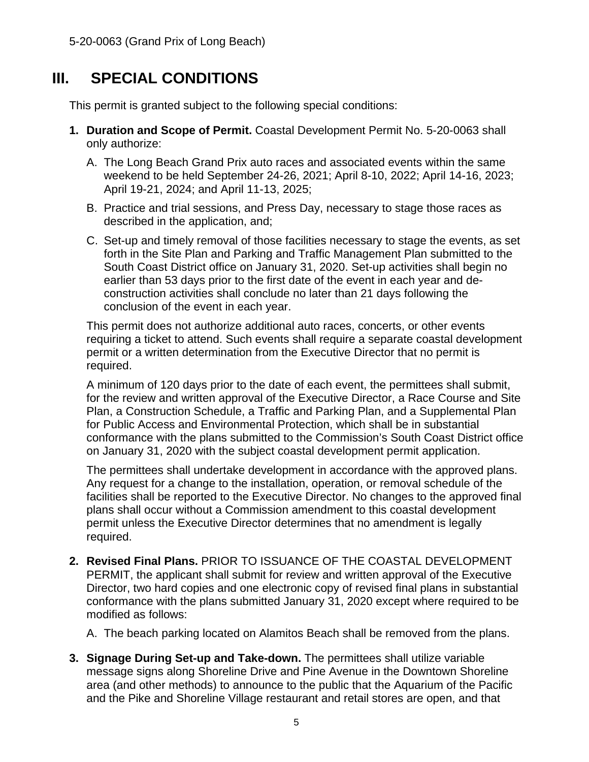# **III. SPECIAL CONDITIONS**

<span id="page-4-0"></span>This permit is granted subject to the following special conditions:

- **1. Duration and Scope of Permit.** Coastal Development Permit No. 5-20-0063 shall only authorize:
	- A. The Long Beach Grand Prix auto races and associated events within the same weekend to be held September 24-26, 2021; April 8-10, 2022; April 14-16, 2023; April 19-21, 2024; and April 11-13, 2025;
	- B. Practice and trial sessions, and Press Day, necessary to stage those races as described in the application, and;
	- C. Set-up and timely removal of those facilities necessary to stage the events, as set forth in the Site Plan and Parking and Traffic Management Plan submitted to the South Coast District office on January 31, 2020. Set-up activities shall begin no earlier than 53 days prior to the first date of the event in each year and deconstruction activities shall conclude no later than 21 days following the conclusion of the event in each year.

This permit does not authorize additional auto races, concerts, or other events requiring a ticket to attend. Such events shall require a separate coastal development permit or a written determination from the Executive Director that no permit is required.

A minimum of 120 days prior to the date of each event, the permittees shall submit, for the review and written approval of the Executive Director, a Race Course and Site Plan, a Construction Schedule, a Traffic and Parking Plan, and a Supplemental Plan for Public Access and Environmental Protection, which shall be in substantial conformance with the plans submitted to the Commission's South Coast District office on January 31, 2020 with the subject coastal development permit application.

The permittees shall undertake development in accordance with the approved plans. Any request for a change to the installation, operation, or removal schedule of the facilities shall be reported to the Executive Director. No changes to the approved final plans shall occur without a Commission amendment to this coastal development permit unless the Executive Director determines that no amendment is legally required.

**2. Revised Final Plans.** PRIOR TO ISSUANCE OF THE COASTAL DEVELOPMENT PERMIT, the applicant shall submit for review and written approval of the Executive Director, two hard copies and one electronic copy of revised final plans in substantial conformance with the plans submitted January 31, 2020 except where required to be modified as follows:

A. The beach parking located on Alamitos Beach shall be removed from the plans.

**3. Signage During Set-up and Take-down.** The permittees shall utilize variable message signs along Shoreline Drive and Pine Avenue in the Downtown Shoreline area (and other methods) to announce to the public that the Aquarium of the Pacific and the Pike and Shoreline Village restaurant and retail stores are open, and that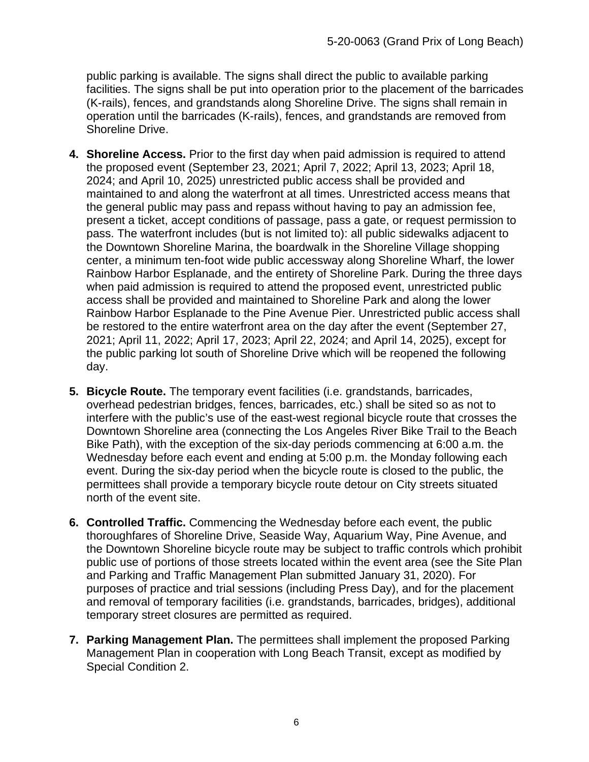public parking is available. The signs shall direct the public to available parking facilities. The signs shall be put into operation prior to the placement of the barricades (K-rails), fences, and grandstands along Shoreline Drive. The signs shall remain in operation until the barricades (K-rails), fences, and grandstands are removed from Shoreline Drive.

- **4. Shoreline Access.** Prior to the first day when paid admission is required to attend the proposed event (September 23, 2021; April 7, 2022; April 13, 2023; April 18, 2024; and April 10, 2025) unrestricted public access shall be provided and maintained to and along the waterfront at all times. Unrestricted access means that the general public may pass and repass without having to pay an admission fee, present a ticket, accept conditions of passage, pass a gate, or request permission to pass. The waterfront includes (but is not limited to): all public sidewalks adjacent to the Downtown Shoreline Marina, the boardwalk in the Shoreline Village shopping center, a minimum ten-foot wide public accessway along Shoreline Wharf, the lower Rainbow Harbor Esplanade, and the entirety of Shoreline Park. During the three days when paid admission is required to attend the proposed event, unrestricted public access shall be provided and maintained to Shoreline Park and along the lower Rainbow Harbor Esplanade to the Pine Avenue Pier. Unrestricted public access shall be restored to the entire waterfront area on the day after the event (September 27, 2021; April 11, 2022; April 17, 2023; April 22, 2024; and April 14, 2025), except for the public parking lot south of Shoreline Drive which will be reopened the following day.
- **5. Bicycle Route.** The temporary event facilities (i.e. grandstands, barricades, overhead pedestrian bridges, fences, barricades, etc.) shall be sited so as not to interfere with the public's use of the east-west regional bicycle route that crosses the Downtown Shoreline area (connecting the Los Angeles River Bike Trail to the Beach Bike Path), with the exception of the six-day periods commencing at 6:00 a.m. the Wednesday before each event and ending at 5:00 p.m. the Monday following each event. During the six-day period when the bicycle route is closed to the public, the permittees shall provide a temporary bicycle route detour on City streets situated north of the event site.
- **6. Controlled Traffic.** Commencing the Wednesday before each event, the public thoroughfares of Shoreline Drive, Seaside Way, Aquarium Way, Pine Avenue, and the Downtown Shoreline bicycle route may be subject to traffic controls which prohibit public use of portions of those streets located within the event area (see the Site Plan and Parking and Traffic Management Plan submitted January 31, 2020). For purposes of practice and trial sessions (including Press Day), and for the placement and removal of temporary facilities (i.e. grandstands, barricades, bridges), additional temporary street closures are permitted as required.
- **7. Parking Management Plan.** The permittees shall implement the proposed Parking Management Plan in cooperation with Long Beach Transit, except as modified by Special Condition 2.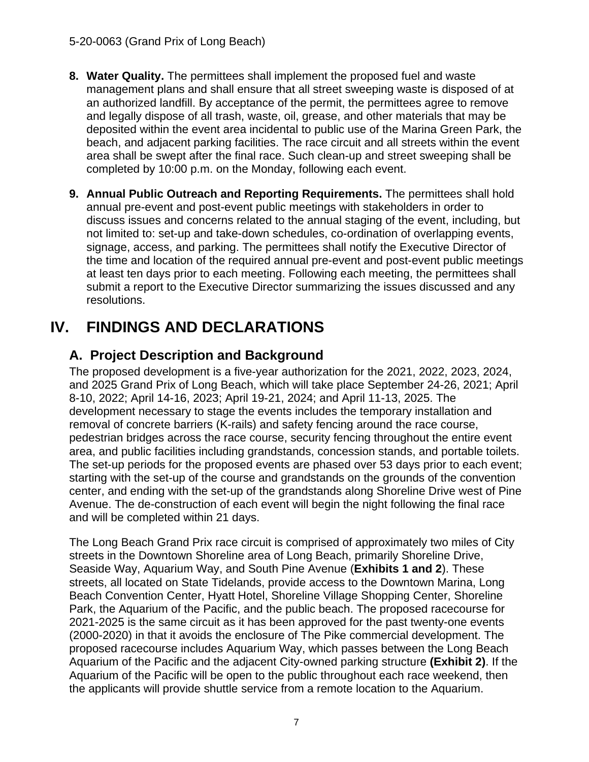- **8. Water Quality.** The permittees shall implement the proposed fuel and waste management plans and shall ensure that all street sweeping waste is disposed of at an authorized landfill. By acceptance of the permit, the permittees agree to remove and legally dispose of all trash, waste, oil, grease, and other materials that may be deposited within the event area incidental to public use of the Marina Green Park, the beach, and adjacent parking facilities. The race circuit and all streets within the event area shall be swept after the final race. Such clean-up and street sweeping shall be completed by 10:00 p.m. on the Monday, following each event.
- **9. Annual Public Outreach and Reporting Requirements.** The permittees shall hold annual pre-event and post-event public meetings with stakeholders in order to discuss issues and concerns related to the annual staging of the event, including, but not limited to: set-up and take-down schedules, co-ordination of overlapping events, signage, access, and parking. The permittees shall notify the Executive Director of the time and location of the required annual pre-event and post-event public meetings at least ten days prior to each meeting. Following each meeting, the permittees shall submit a report to the Executive Director summarizing the issues discussed and any resolutions.

# <span id="page-6-0"></span>**IV. FINDINGS AND DECLARATIONS**

## <span id="page-6-1"></span>**A. Project Description and Background**

The proposed development is a five-year authorization for the 2021, 2022, 2023, 2024, and 2025 Grand Prix of Long Beach, which will take place September 24-26, 2021; April 8-10, 2022; April 14-16, 2023; April 19-21, 2024; and April 11-13, 2025. The development necessary to stage the events includes the temporary installation and removal of concrete barriers (K-rails) and safety fencing around the race course, pedestrian bridges across the race course, security fencing throughout the entire event area, and public facilities including grandstands, concession stands, and portable toilets. The set-up periods for the proposed events are phased over 53 days prior to each event; starting with the set-up of the course and grandstands on the grounds of the convention center, and ending with the set-up of the grandstands along Shoreline Drive west of Pine Avenue. The de-construction of each event will begin the night following the final race and will be completed within 21 days.

The Long Beach Grand Prix race circuit is comprised of approximately two miles of City streets in the Downtown Shoreline area of Long Beach, primarily Shoreline Drive, Seaside Way, Aquarium Way, and South Pine Avenue (**[Exhibits 1 and 2](https://documents.coastal.ca.gov/reports/2021/3/Th13d/Th13d-3-2021-exhibits.pdf)**). These streets, all located on State Tidelands, provide access to the Downtown Marina, Long Beach Convention Center, Hyatt Hotel, Shoreline Village Shopping Center, Shoreline Park, the Aquarium of the Pacific, and the public beach. The proposed racecourse for 2021-2025 is the same circuit as it has been approved for the past twenty-one events (2000-2020) in that it avoids the enclosure of The Pike commercial development. The proposed racecourse includes Aquarium Way, which passes between the Long Beach Aquarium of the Pacific and the adjacent City-owned parking structure **[\(Exhibit 2\)](https://documents.coastal.ca.gov/reports/2021/3/Th13d/Th13d-3-2021-exhibits.pdf)**. If the Aquarium of the Pacific will be open to the public throughout each race weekend, then the applicants will provide shuttle service from a remote location to the Aquarium.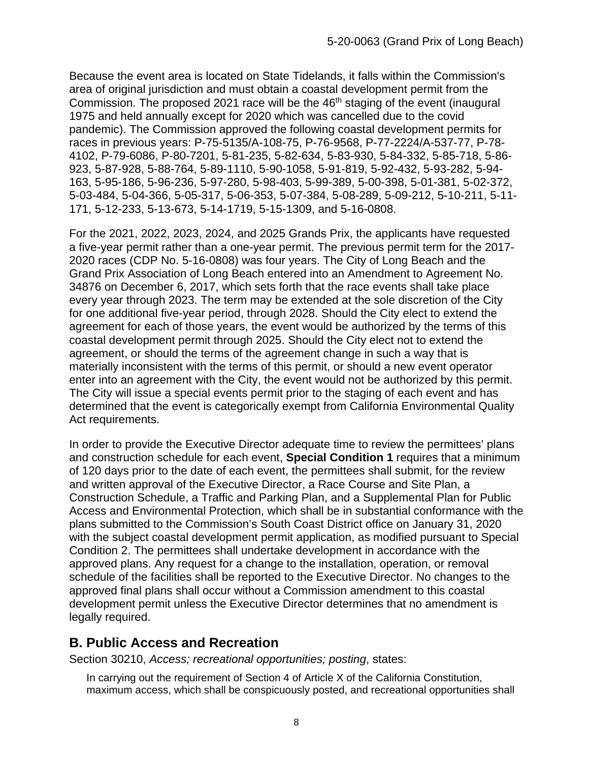Because the event area is located on State Tidelands, it falls within the Commission's area of original jurisdiction and must obtain a coastal development permit from the Commission. The proposed 2021 race will be the  $46<sup>th</sup>$  staging of the event (inaugural 1975 and held annually except for 2020 which was cancelled due to the covid pandemic). The Commission approved the following coastal development permits for races in previous years: P-75-5135/A-108-75, P-76-9568, P-77-2224/A-537-77, P-78- 4102, P-79-6086, P-80-7201, 5-81-235, 5-82-634, 5-83-930, 5-84-332, 5-85-718, 5-86- 923, 5-87-928, 5-88-764, 5-89-1110, 5-90-1058, 5-91-819, 5-92-432, 5-93-282, 5-94- 163, 5-95-186, 5-96-236, 5-97-280, 5-98-403, 5-99-389, 5-00-398, 5-01-381, 5-02-372, 5-03-484, 5-04-366, 5-05-317, 5-06-353, 5-07-384, 5-08-289, 5-09-212, 5-10-211, 5-11- 171, 5-12-233, 5-13-673, 5-14-1719, 5-15-1309, and 5-16-0808.

For the 2021, 2022, 2023, 2024, and 2025 Grands Prix, the applicants have requested a five-year permit rather than a one-year permit. The previous permit term for the 2017- 2020 races (CDP No. 5-16-0808) was four years. The City of Long Beach and the Grand Prix Association of Long Beach entered into an Amendment to Agreement No. 34876 on December 6, 2017, which sets forth that the race events shall take place every year through 2023. The term may be extended at the sole discretion of the City for one additional five-year period, through 2028. Should the City elect to extend the agreement for each of those years, the event would be authorized by the terms of this coastal development permit through 2025. Should the City elect not to extend the agreement, or should the terms of the agreement change in such a way that is materially inconsistent with the terms of this permit, or should a new event operator enter into an agreement with the City, the event would not be authorized by this permit. The City will issue a special events permit prior to the staging of each event and has determined that the event is categorically exempt from California Environmental Quality Act requirements.

In order to provide the Executive Director adequate time to review the permittees' plans and construction schedule for each event, **Special Condition 1** requires that a minimum of 120 days prior to the date of each event, the permittees shall submit, for the review and written approval of the Executive Director, a Race Course and Site Plan, a Construction Schedule, a Traffic and Parking Plan, and a Supplemental Plan for Public Access and Environmental Protection, which shall be in substantial conformance with the plans submitted to the Commission's South Coast District office on January 31, 2020 with the subject coastal development permit application, as modified pursuant to Special Condition 2. The permittees shall undertake development in accordance with the approved plans. Any request for a change to the installation, operation, or removal schedule of the facilities shall be reported to the Executive Director. No changes to the approved final plans shall occur without a Commission amendment to this coastal development permit unless the Executive Director determines that no amendment is legally required.

### <span id="page-7-0"></span>**B. Public Access and Recreation**

Section 30210, *Access; recreational opportunities; posting*, states:

In carrying out the requirement of Section 4 of Article X of the California Constitution, maximum access, which shall be conspicuously posted, and recreational opportunities shall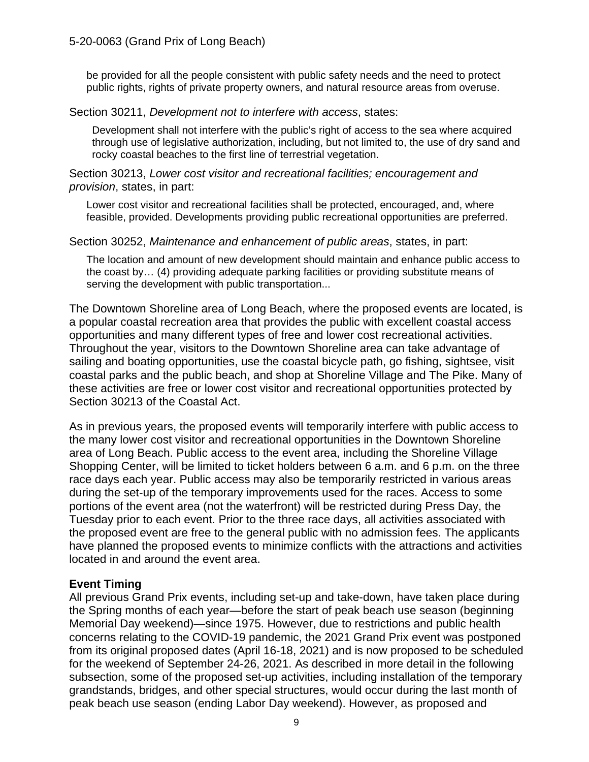be provided for all the people consistent with public safety needs and the need to protect public rights, rights of private property owners, and natural resource areas from overuse.

#### Section 30211, *Development not to interfere with access*, states:

Development shall not interfere with the public's right of access to the sea where acquired through use of legislative authorization, including, but not limited to, the use of dry sand and rocky coastal beaches to the first line of terrestrial vegetation.

#### Section 30213, *Lower cost visitor and recreational facilities; encouragement and provision*, states, in part:

Lower cost visitor and recreational facilities shall be protected, encouraged, and, where feasible, provided. Developments providing public recreational opportunities are preferred.

#### Section 30252, *Maintenance and enhancement of public areas*, states, in part:

The location and amount of new development should maintain and enhance public access to the coast by… (4) providing adequate parking facilities or providing substitute means of serving the development with public transportation...

The Downtown Shoreline area of Long Beach, where the proposed events are located, is a popular coastal recreation area that provides the public with excellent coastal access opportunities and many different types of free and lower cost recreational activities. Throughout the year, visitors to the Downtown Shoreline area can take advantage of sailing and boating opportunities, use the coastal bicycle path, go fishing, sightsee, visit coastal parks and the public beach, and shop at Shoreline Village and The Pike. Many of these activities are free or lower cost visitor and recreational opportunities protected by Section 30213 of the Coastal Act.

As in previous years, the proposed events will temporarily interfere with public access to the many lower cost visitor and recreational opportunities in the Downtown Shoreline area of Long Beach. Public access to the event area, including the Shoreline Village Shopping Center, will be limited to ticket holders between 6 a.m. and 6 p.m. on the three race days each year. Public access may also be temporarily restricted in various areas during the set-up of the temporary improvements used for the races. Access to some portions of the event area (not the waterfront) will be restricted during Press Day, the Tuesday prior to each event. Prior to the three race days, all activities associated with the proposed event are free to the general public with no admission fees. The applicants have planned the proposed events to minimize conflicts with the attractions and activities located in and around the event area.

#### **Event Timing**

All previous Grand Prix events, including set-up and take-down, have taken place during the Spring months of each year—before the start of peak beach use season (beginning Memorial Day weekend)—since 1975. However, due to restrictions and public health concerns relating to the COVID-19 pandemic, the 2021 Grand Prix event was postponed from its original proposed dates (April 16-18, 2021) and is now proposed to be scheduled for the weekend of September 24-26, 2021. As described in more detail in the following subsection, some of the proposed set-up activities, including installation of the temporary grandstands, bridges, and other special structures, would occur during the last month of peak beach use season (ending Labor Day weekend). However, as proposed and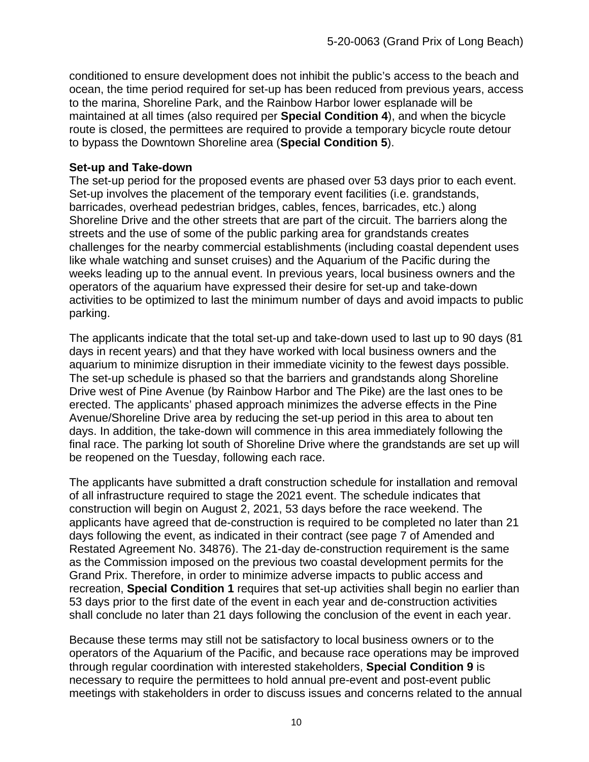conditioned to ensure development does not inhibit the public's access to the beach and ocean, the time period required for set-up has been reduced from previous years, access to the marina, Shoreline Park, and the Rainbow Harbor lower esplanade will be maintained at all times (also required per **Special Condition 4**), and when the bicycle route is closed, the permittees are required to provide a temporary bicycle route detour to bypass the Downtown Shoreline area (**Special Condition 5**).

#### **Set-up and Take-down**

The set-up period for the proposed events are phased over 53 days prior to each event. Set-up involves the placement of the temporary event facilities (i.e. grandstands, barricades, overhead pedestrian bridges, cables, fences, barricades, etc.) along Shoreline Drive and the other streets that are part of the circuit. The barriers along the streets and the use of some of the public parking area for grandstands creates challenges for the nearby commercial establishments (including coastal dependent uses like whale watching and sunset cruises) and the Aquarium of the Pacific during the weeks leading up to the annual event. In previous years, local business owners and the operators of the aquarium have expressed their desire for set-up and take-down activities to be optimized to last the minimum number of days and avoid impacts to public parking.

The applicants indicate that the total set-up and take-down used to last up to 90 days (81 days in recent years) and that they have worked with local business owners and the aquarium to minimize disruption in their immediate vicinity to the fewest days possible. The set-up schedule is phased so that the barriers and grandstands along Shoreline Drive west of Pine Avenue (by Rainbow Harbor and The Pike) are the last ones to be erected. The applicants' phased approach minimizes the adverse effects in the Pine Avenue/Shoreline Drive area by reducing the set-up period in this area to about ten days. In addition, the take-down will commence in this area immediately following the final race. The parking lot south of Shoreline Drive where the grandstands are set up will be reopened on the Tuesday, following each race.

The applicants have submitted a draft construction schedule for installation and removal of all infrastructure required to stage the 2021 event. The schedule indicates that construction will begin on August 2, 2021, 53 days before the race weekend. The applicants have agreed that de-construction is required to be completed no later than 21 days following the event, as indicated in their contract (see page 7 of Amended and Restated Agreement No. 34876). The 21-day de-construction requirement is the same as the Commission imposed on the previous two coastal development permits for the Grand Prix. Therefore, in order to minimize adverse impacts to public access and recreation, **Special Condition 1** requires that set-up activities shall begin no earlier than 53 days prior to the first date of the event in each year and de-construction activities shall conclude no later than 21 days following the conclusion of the event in each year.

Because these terms may still not be satisfactory to local business owners or to the operators of the Aquarium of the Pacific, and because race operations may be improved through regular coordination with interested stakeholders, **Special Condition 9** is necessary to require the permittees to hold annual pre-event and post-event public meetings with stakeholders in order to discuss issues and concerns related to the annual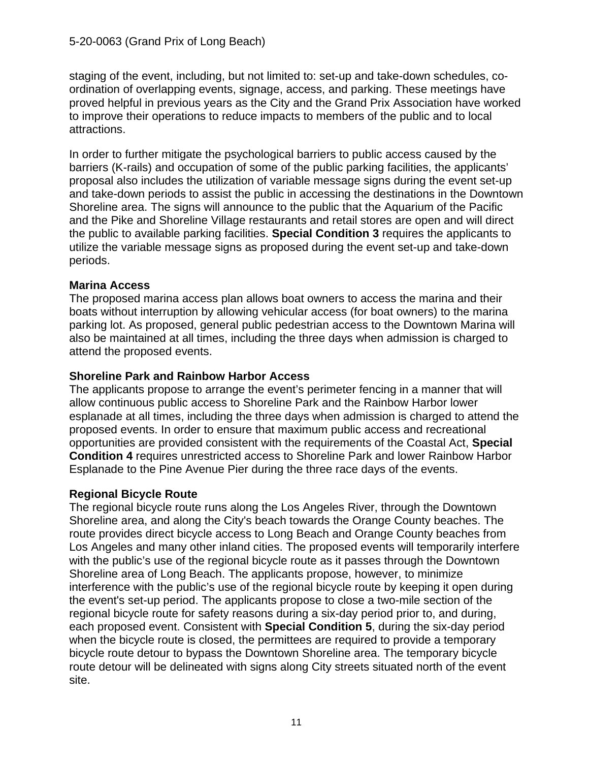staging of the event, including, but not limited to: set-up and take-down schedules, coordination of overlapping events, signage, access, and parking. These meetings have proved helpful in previous years as the City and the Grand Prix Association have worked to improve their operations to reduce impacts to members of the public and to local attractions.

In order to further mitigate the psychological barriers to public access caused by the barriers (K-rails) and occupation of some of the public parking facilities, the applicants' proposal also includes the utilization of variable message signs during the event set-up and take-down periods to assist the public in accessing the destinations in the Downtown Shoreline area. The signs will announce to the public that the Aquarium of the Pacific and the Pike and Shoreline Village restaurants and retail stores are open and will direct the public to available parking facilities. **Special Condition 3** requires the applicants to utilize the variable message signs as proposed during the event set-up and take-down periods.

#### **Marina Access**

The proposed marina access plan allows boat owners to access the marina and their boats without interruption by allowing vehicular access (for boat owners) to the marina parking lot. As proposed, general public pedestrian access to the Downtown Marina will also be maintained at all times, including the three days when admission is charged to attend the proposed events.

#### **Shoreline Park and Rainbow Harbor Access**

The applicants propose to arrange the event's perimeter fencing in a manner that will allow continuous public access to Shoreline Park and the Rainbow Harbor lower esplanade at all times, including the three days when admission is charged to attend the proposed events. In order to ensure that maximum public access and recreational opportunities are provided consistent with the requirements of the Coastal Act, **Special Condition 4** requires unrestricted access to Shoreline Park and lower Rainbow Harbor Esplanade to the Pine Avenue Pier during the three race days of the events.

#### **Regional Bicycle Route**

The regional bicycle route runs along the Los Angeles River, through the Downtown Shoreline area, and along the City's beach towards the Orange County beaches. The route provides direct bicycle access to Long Beach and Orange County beaches from Los Angeles and many other inland cities. The proposed events will temporarily interfere with the public's use of the regional bicycle route as it passes through the Downtown Shoreline area of Long Beach. The applicants propose, however, to minimize interference with the public's use of the regional bicycle route by keeping it open during the event's set-up period. The applicants propose to close a two-mile section of the regional bicycle route for safety reasons during a six-day period prior to, and during, each proposed event. Consistent with **Special Condition 5**, during the six-day period when the bicycle route is closed, the permittees are required to provide a temporary bicycle route detour to bypass the Downtown Shoreline area. The temporary bicycle route detour will be delineated with signs along City streets situated north of the event site.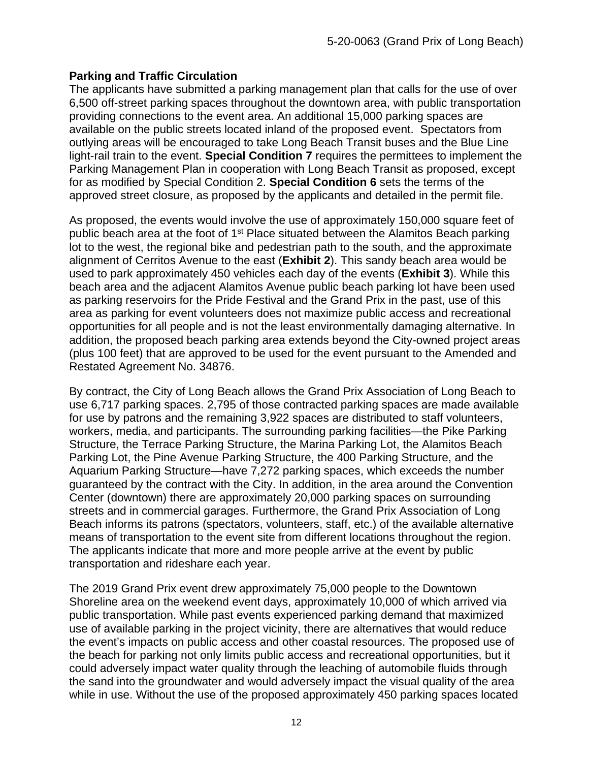#### **Parking and Traffic Circulation**

The applicants have submitted a parking management plan that calls for the use of over 6,500 off-street parking spaces throughout the downtown area, with public transportation providing connections to the event area. An additional 15,000 parking spaces are available on the public streets located inland of the proposed event. Spectators from outlying areas will be encouraged to take Long Beach Transit buses and the Blue Line light-rail train to the event. **Special Condition 7** requires the permittees to implement the Parking Management Plan in cooperation with Long Beach Transit as proposed, except for as modified by Special Condition 2. **Special Condition 6** sets the terms of the approved street closure, as proposed by the applicants and detailed in the permit file.

As proposed, the events would involve the use of approximately 150,000 square feet of public beach area at the foot of 1<sup>st</sup> Place situated between the Alamitos Beach parking lot to the west, the regional bike and pedestrian path to the south, and the approximate alignment of Cerritos Avenue to the east (**[Exhibit 2](https://documents.coastal.ca.gov/reports/2021/3/Th13d/Th13d-3-2021-exhibits.pdf)**). This sandy beach area would be used to park approximately 450 vehicles each day of the events (**[Exhibit 3](https://documents.coastal.ca.gov/reports/2021/3/Th13d/Th13d-3-2021-exhibits.pdf)**). While this beach area and the adjacent Alamitos Avenue public beach parking lot have been used as parking reservoirs for the Pride Festival and the Grand Prix in the past, use of this area as parking for event volunteers does not maximize public access and recreational opportunities for all people and is not the least environmentally damaging alternative. In addition, the proposed beach parking area extends beyond the City-owned project areas (plus 100 feet) that are approved to be used for the event pursuant to the Amended and Restated Agreement No. 34876.

By contract, the City of Long Beach allows the Grand Prix Association of Long Beach to use 6,717 parking spaces. 2,795 of those contracted parking spaces are made available for use by patrons and the remaining 3,922 spaces are distributed to staff volunteers, workers, media, and participants. The surrounding parking facilities—the Pike Parking Structure, the Terrace Parking Structure, the Marina Parking Lot, the Alamitos Beach Parking Lot, the Pine Avenue Parking Structure, the 400 Parking Structure, and the Aquarium Parking Structure—have 7,272 parking spaces, which exceeds the number guaranteed by the contract with the City. In addition, in the area around the Convention Center (downtown) there are approximately 20,000 parking spaces on surrounding streets and in commercial garages. Furthermore, the Grand Prix Association of Long Beach informs its patrons (spectators, volunteers, staff, etc.) of the available alternative means of transportation to the event site from different locations throughout the region. The applicants indicate that more and more people arrive at the event by public transportation and rideshare each year.

The 2019 Grand Prix event drew approximately 75,000 people to the Downtown Shoreline area on the weekend event days, approximately 10,000 of which arrived via public transportation. While past events experienced parking demand that maximized use of available parking in the project vicinity, there are alternatives that would reduce the event's impacts on public access and other coastal resources. The proposed use of the beach for parking not only limits public access and recreational opportunities, but it could adversely impact water quality through the leaching of automobile fluids through the sand into the groundwater and would adversely impact the visual quality of the area while in use. Without the use of the proposed approximately 450 parking spaces located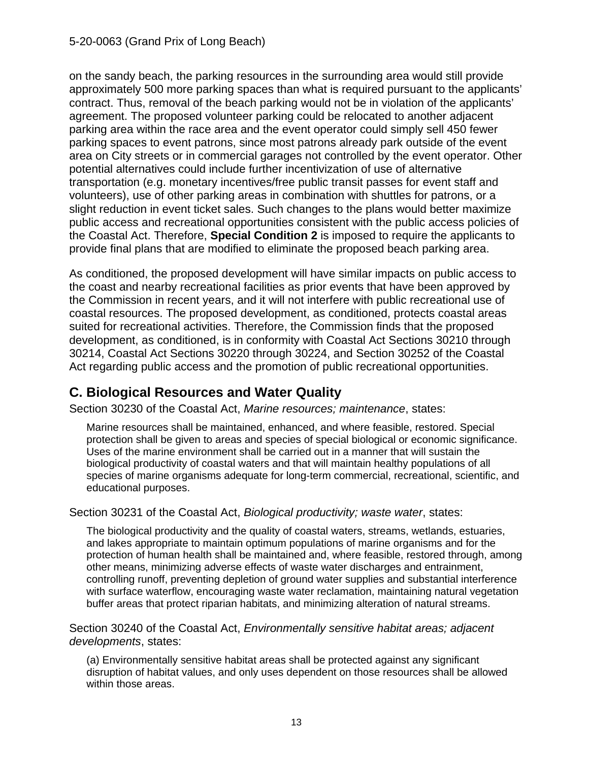on the sandy beach, the parking resources in the surrounding area would still provide approximately 500 more parking spaces than what is required pursuant to the applicants' contract. Thus, removal of the beach parking would not be in violation of the applicants' agreement. The proposed volunteer parking could be relocated to another adjacent parking area within the race area and the event operator could simply sell 450 fewer parking spaces to event patrons, since most patrons already park outside of the event area on City streets or in commercial garages not controlled by the event operator. Other potential alternatives could include further incentivization of use of alternative transportation (e.g. monetary incentives/free public transit passes for event staff and volunteers), use of other parking areas in combination with shuttles for patrons, or a slight reduction in event ticket sales. Such changes to the plans would better maximize public access and recreational opportunities consistent with the public access policies of the Coastal Act. Therefore, **Special Condition 2** is imposed to require the applicants to provide final plans that are modified to eliminate the proposed beach parking area.

As conditioned, the proposed development will have similar impacts on public access to the coast and nearby recreational facilities as prior events that have been approved by the Commission in recent years, and it will not interfere with public recreational use of coastal resources. The proposed development, as conditioned, protects coastal areas suited for recreational activities. Therefore, the Commission finds that the proposed development, as conditioned, is in conformity with Coastal Act Sections 30210 through 30214, Coastal Act Sections 30220 through 30224, and Section 30252 of the Coastal Act regarding public access and the promotion of public recreational opportunities.

# <span id="page-12-0"></span>**C. Biological Resources and Water Quality**

Section 30230 of the Coastal Act, *Marine resources; maintenance*, states:

Marine resources shall be maintained, enhanced, and where feasible, restored. Special protection shall be given to areas and species of special biological or economic significance. Uses of the marine environment shall be carried out in a manner that will sustain the biological productivity of coastal waters and that will maintain healthy populations of all species of marine organisms adequate for long-term commercial, recreational, scientific, and educational purposes.

Section 30231 of the Coastal Act, *Biological productivity; waste water*, states:

The biological productivity and the quality of coastal waters, streams, wetlands, estuaries, and lakes appropriate to maintain optimum populations of marine organisms and for the protection of human health shall be maintained and, where feasible, restored through, among other means, minimizing adverse effects of waste water discharges and entrainment, controlling runoff, preventing depletion of ground water supplies and substantial interference with surface waterflow, encouraging waste water reclamation, maintaining natural vegetation buffer areas that protect riparian habitats, and minimizing alteration of natural streams.

Section 30240 of the Coastal Act, *Environmentally sensitive habitat areas; adjacent developments*, states:

(a) Environmentally sensitive habitat areas shall be protected against any significant disruption of habitat values, and only uses dependent on those resources shall be allowed within those areas.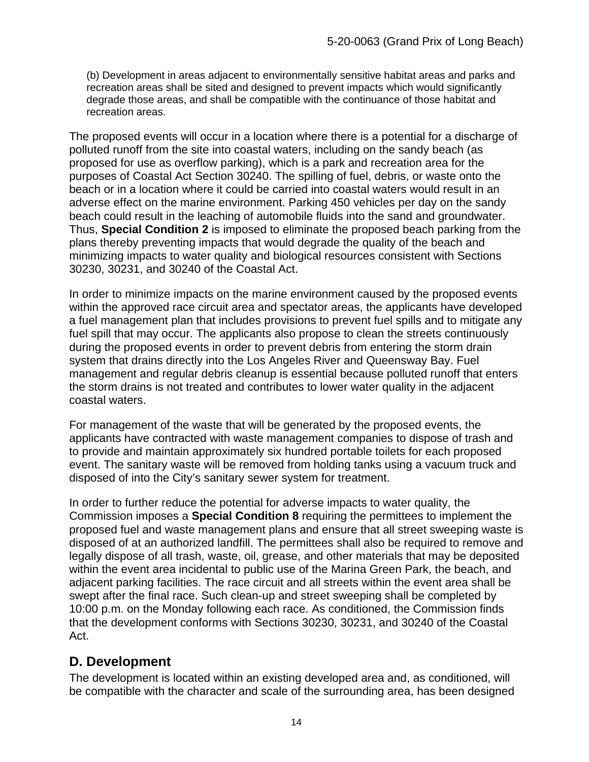(b) Development in areas adjacent to environmentally sensitive habitat areas and parks and recreation areas shall be sited and designed to prevent impacts which would significantly degrade those areas, and shall be compatible with the continuance of those habitat and recreation areas.

The proposed events will occur in a location where there is a potential for a discharge of polluted runoff from the site into coastal waters, including on the sandy beach (as proposed for use as overflow parking), which is a park and recreation area for the purposes of Coastal Act Section 30240. The spilling of fuel, debris, or waste onto the beach or in a location where it could be carried into coastal waters would result in an adverse effect on the marine environment. Parking 450 vehicles per day on the sandy beach could result in the leaching of automobile fluids into the sand and groundwater. Thus, **Special Condition 2** is imposed to eliminate the proposed beach parking from the plans thereby preventing impacts that would degrade the quality of the beach and minimizing impacts to water quality and biological resources consistent with Sections 30230, 30231, and 30240 of the Coastal Act.

In order to minimize impacts on the marine environment caused by the proposed events within the approved race circuit area and spectator areas, the applicants have developed a fuel management plan that includes provisions to prevent fuel spills and to mitigate any fuel spill that may occur. The applicants also propose to clean the streets continuously during the proposed events in order to prevent debris from entering the storm drain system that drains directly into the Los Angeles River and Queensway Bay. Fuel management and regular debris cleanup is essential because polluted runoff that enters the storm drains is not treated and contributes to lower water quality in the adjacent coastal waters.

For management of the waste that will be generated by the proposed events, the applicants have contracted with waste management companies to dispose of trash and to provide and maintain approximately six hundred portable toilets for each proposed event. The sanitary waste will be removed from holding tanks using a vacuum truck and disposed of into the City's sanitary sewer system for treatment.

In order to further reduce the potential for adverse impacts to water quality, the Commission imposes a **Special Condition 8** requiring the permittees to implement the proposed fuel and waste management plans and ensure that all street sweeping waste is disposed of at an authorized landfill. The permittees shall also be required to remove and legally dispose of all trash, waste, oil, grease, and other materials that may be deposited within the event area incidental to public use of the Marina Green Park, the beach, and adjacent parking facilities. The race circuit and all streets within the event area shall be swept after the final race. Such clean-up and street sweeping shall be completed by 10:00 p.m. on the Monday following each race. As conditioned, the Commission finds that the development conforms with Sections 30230, 30231, and 30240 of the Coastal Act.

## <span id="page-13-0"></span>**D. Development**

The development is located within an existing developed area and, as conditioned, will be compatible with the character and scale of the surrounding area, has been designed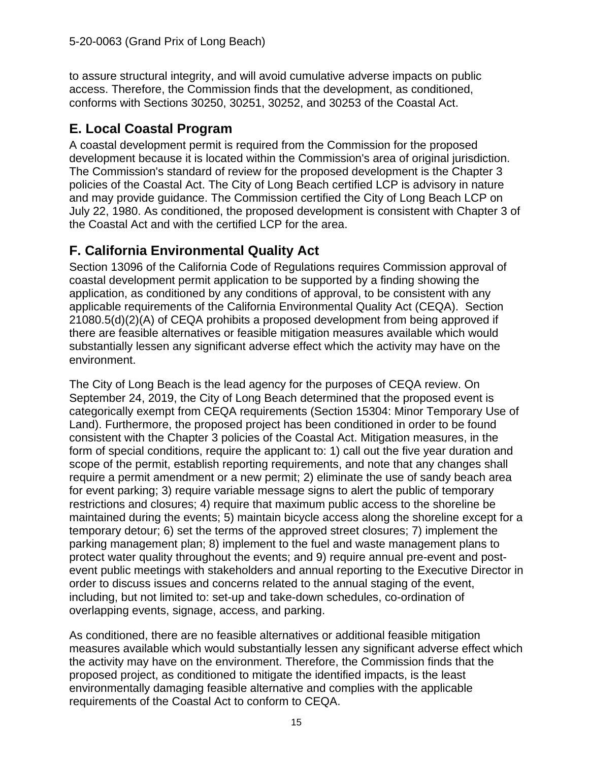to assure structural integrity, and will avoid cumulative adverse impacts on public access. Therefore, the Commission finds that the development, as conditioned, conforms with Sections 30250, 30251, 30252, and 30253 of the Coastal Act.

## <span id="page-14-0"></span>**E. Local Coastal Program**

A coastal development permit is required from the Commission for the proposed development because it is located within the Commission's area of original jurisdiction. The Commission's standard of review for the proposed development is the Chapter 3 policies of the Coastal Act. The City of Long Beach certified LCP is advisory in nature and may provide guidance. The Commission certified the City of Long Beach LCP on July 22, 1980. As conditioned, the proposed development is consistent with Chapter 3 of the Coastal Act and with the certified LCP for the area.

# <span id="page-14-1"></span>**F. California Environmental Quality Act**

Section 13096 of the California Code of Regulations requires Commission approval of coastal development permit application to be supported by a finding showing the application, as conditioned by any conditions of approval, to be consistent with any applicable requirements of the California Environmental Quality Act (CEQA). Section 21080.5(d)(2)(A) of CEQA prohibits a proposed development from being approved if there are feasible alternatives or feasible mitigation measures available which would substantially lessen any significant adverse effect which the activity may have on the environment.

The City of Long Beach is the lead agency for the purposes of CEQA review. On September 24, 2019, the City of Long Beach determined that the proposed event is categorically exempt from CEQA requirements (Section 15304: Minor Temporary Use of Land). Furthermore, the proposed project has been conditioned in order to be found consistent with the Chapter 3 policies of the Coastal Act. Mitigation measures, in the form of special conditions, require the applicant to: 1) call out the five year duration and scope of the permit, establish reporting requirements, and note that any changes shall require a permit amendment or a new permit; 2) eliminate the use of sandy beach area for event parking; 3) require variable message signs to alert the public of temporary restrictions and closures; 4) require that maximum public access to the shoreline be maintained during the events; 5) maintain bicycle access along the shoreline except for a temporary detour; 6) set the terms of the approved street closures; 7) implement the parking management plan; 8) implement to the fuel and waste management plans to protect water quality throughout the events; and 9) require annual pre-event and postevent public meetings with stakeholders and annual reporting to the Executive Director in order to discuss issues and concerns related to the annual staging of the event, including, but not limited to: set-up and take-down schedules, co-ordination of overlapping events, signage, access, and parking.

As conditioned, there are no feasible alternatives or additional feasible mitigation measures available which would substantially lessen any significant adverse effect which the activity may have on the environment. Therefore, the Commission finds that the proposed project, as conditioned to mitigate the identified impacts, is the least environmentally damaging feasible alternative and complies with the applicable requirements of the Coastal Act to conform to CEQA.